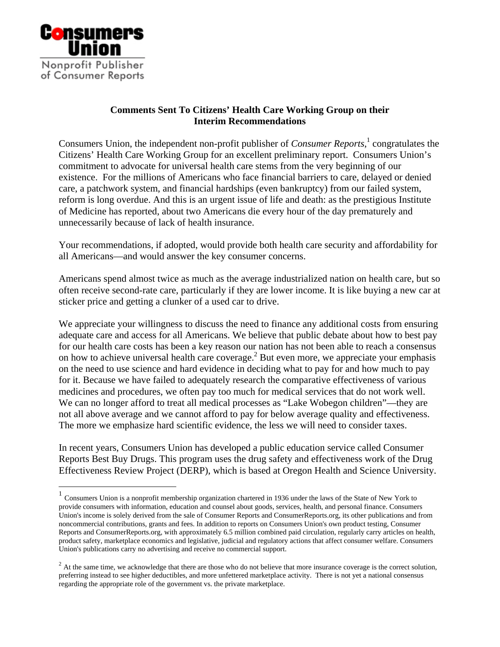

 $\overline{a}$ 

## **Comments Sent To Citizens' Health Care Working Group on their Interim Recommendations**

Consumers Union, the independent non-profit publisher of *Consumer Reports*,<sup>1</sup> congratulates the Citizens' Health Care Working Group for an excellent preliminary report. Consumers Union's commitment to advocate for universal health care stems from the very beginning of our existence. For the millions of Americans who face financial barriers to care, delayed or denied care, a patchwork system, and financial hardships (even bankruptcy) from our failed system, reform is long overdue. And this is an urgent issue of life and death: as the prestigious Institute of Medicine has reported, about two Americans die every hour of the day prematurely and unnecessarily because of lack of health insurance.

Your recommendations, if adopted, would provide both health care security and affordability for all Americans—and would answer the key consumer concerns.

Americans spend almost twice as much as the average industrialized nation on health care, but so often receive second-rate care, particularly if they are lower income. It is like buying a new car at sticker price and getting a clunker of a used car to drive.

We appreciate your willingness to discuss the need to finance any additional costs from ensuring adequate care and access for all Americans. We believe that public debate about how to best pay for our health care costs has been a key reason our nation has not been able to reach a consensus on how to achieve universal health care coverage. $<sup>2</sup>$  But even more, we appreciate your emphasis</sup> on the need to use science and hard evidence in deciding what to pay for and how much to pay for it. Because we have failed to adequately research the comparative effectiveness of various medicines and procedures, we often pay too much for medical services that do not work well. We can no longer afford to treat all medical processes as "Lake Wobegon children"—they are not all above average and we cannot afford to pay for below average quality and effectiveness. The more we emphasize hard scientific evidence, the less we will need to consider taxes.

In recent years, Consumers Union has developed a public education service called Consumer Reports Best Buy Drugs. This program uses the drug safety and effectiveness work of the Drug Effectiveness Review Project (DERP), which is based at Oregon Health and Science University.

 $<sup>1</sup>$  Consumers Union is a nonprofit membership organization chartered in 1936 under the laws of the State of New York to</sup> provide consumers with information, education and counsel about goods, services, health, and personal finance. Consumers Union's income is solely derived from the sale of Consumer Reports and ConsumerReports.org, its other publications and from noncommercial contributions, grants and fees. In addition to reports on Consumers Union's own product testing, Consumer Reports and ConsumerReports.org, with approximately 6.5 million combined paid circulation, regularly carry articles on health, product safety, marketplace economics and legislative, judicial and regulatory actions that affect consumer welfare. Consumers Union's publications carry no advertising and receive no commercial support.

 $2 \text{ At the same time, we acknowledge that there are those who do not believe that more insurance coverage is the correct solution, }$ preferring instead to see higher deductibles, and more unfettered marketplace activity. There is not yet a national consensus regarding the appropriate role of the government vs. the private marketplace.